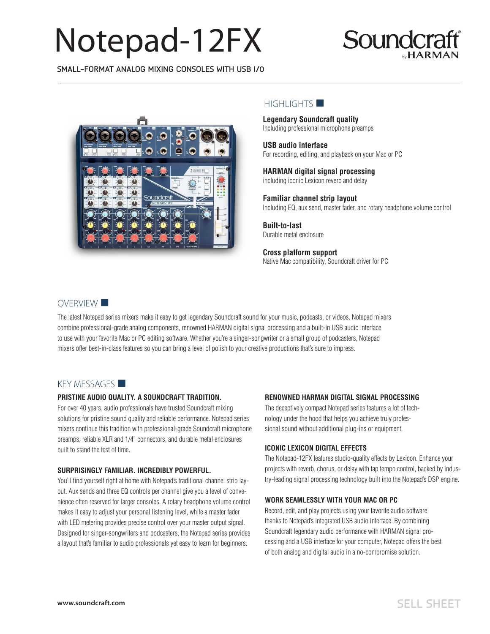# Notepad-12FX



**SMALL-FORMAT ANALOG MIXING CONSOLES WITH USB I/0**



## $H$ IGHLIGHTS

**Legendary Soundcraft quality**  Including professional microphone preamps

**Four-input USB audio interface** 

For recording, editing, and playback on your Mac or PC

**HARMAN digital signal processing**  including iconic Lexicon reverb and delay

**Familiar channel strip layout**  Including EQ, aux send, master fader, and rotary headphone volume control

**Built-to-last**  Durable metal enclosure

**Cross platform support**  Native Mac compatibility, Soundcraft driver for PC

## OVERVIEW<sup>II</sup>

The latest Notepad series mixers make it easy to get legendary Soundcraft sound for your music, podcasts, or videos. Notepad mixers combine professionalgrade analog components, renowned HARMAN digital signal processing and a built-in USB audio interface to use with your favorite Mac or PC editing software. Plus, ducking, when enabled, automatically lowers the volume of USB input background music when audio is detected by the main source, allowing your voice and message to stand out. Whether you're a singer-songwriter or a small group of podcasters, Notepad mixers offer best-in-class features so you can bring a level of polish to your creative productions that's sure to impress.

## $KEY MESSAGES$

#### **PRISTINE AUDIO QUALITY. A SOUNDCRAFT TRADITION.**

For over 40 years, audio professionals have trusted Soundcraft mixing solutions for pristine sound quality and reliable performance. Notepad series mixers continue this tradition with professional-grade Soundcraft microphone preamps, reliable XLR and 1/4" connectors, and durable metal enclosures built to stand the test of time.

#### **SURPRISINGLY FAMILIAR. INCREDIBLY POWERFUL.**

You'll find yourself right at home with Notepad's traditional channel strip layout. Aux sends and three EQ controls per channel give you a level of convenience often reserved for larger consoles. A rotary headphone volume control makes it easy to adjust your personal listening level, while a master fader with LED metering provides precise control over your master output signal. Ducking makes sure your audience hears you loud and clear by automatically lowering USB input background music when you speak. Designed for singersongwriters and podcasters, the Notepad series provides a layout that's familiar to audio professionals yet easy to learn for beginners.

#### **FOUR ASSIGNABLE USB INPUTS**

Using the Soundcraft USB Audio Control Panel, users can assign patching from the four mic inputs, the line inputs, or the master mix to computer.

#### **ICONIC LEXICON DIGITAL EFFECTS**

The Notepad-12FX features studio-quality effects by Lexicon. Enhance your projects with reverb, chorus, or delay with tap tempo control, backed by industry-leading signal processing technology built into the Notepad's DSP engine.

#### **WORK SEAMLESSLY WITH YOUR MAC OR PC**

Record, edit, and play projects using your favorite audio software thanks to Notepad's integrated USB audio interface. By combining Soundcraft legendary audio performance with HARMAN signal processing and a USB interface for your computer, Notepad offers the best of both analog and digital audio in a no-compromise solution.